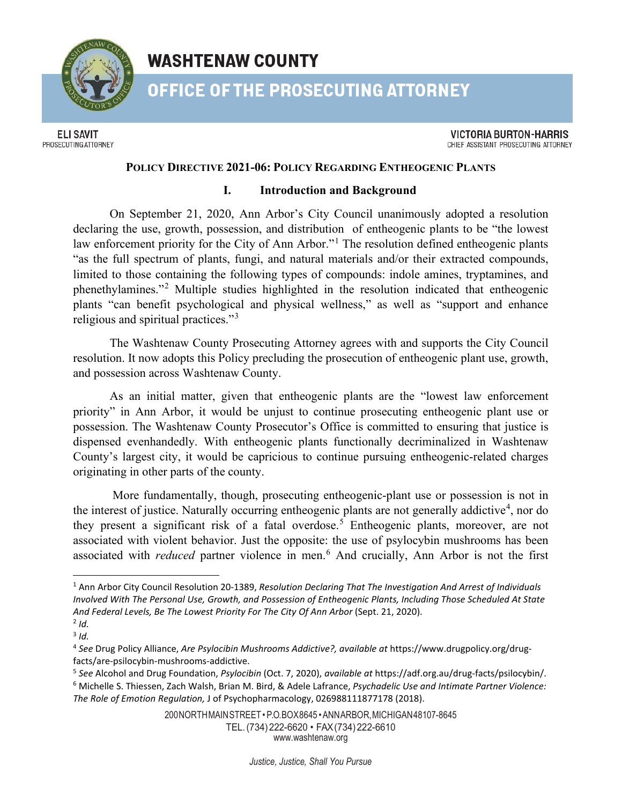

# **WASHTENAW COUNTY**

**OFFICE OF THE PROSECUTING ATTORNEY** 

**ELI SAVIT** PROSECUTING ATTORNEY

**VICTORIA BURTON-HARRIS** CHIEF ASSISTANT PROSECUTING ATTORNEY

## **POLICY DIRECTIVE 2021-06: POLICY REGARDING ENTHEOGENIC PLANTS**

#### **I. Introduction and Background**

On September 21, 2020, Ann Arbor's City Council unanimously adopted a resolution declaring the use, growth, possession, and distribution of entheogenic plants to be "the lowest law enforcement priority for the City of Ann Arbor."<sup>[1](#page-0-0)</sup> The resolution defined entheogenic plants "as the full spectrum of plants, fungi, and natural materials and/or their extracted compounds, limited to those containing the following types of compounds: indole amines, tryptamines, and phenethylamines."[2](#page-0-1) Multiple studies highlighted in the resolution indicated that entheogenic plants "can benefit psychological and physical wellness," as well as "support and enhance religious and spiritual practices."[3](#page-0-2)

The Washtenaw County Prosecuting Attorney agrees with and supports the City Council resolution. It now adopts this Policy precluding the prosecution of entheogenic plant use, growth, and possession across Washtenaw County.

As an initial matter, given that entheogenic plants are the "lowest law enforcement priority" in Ann Arbor, it would be unjust to continue prosecuting entheogenic plant use or possession. The Washtenaw County Prosecutor's Office is committed to ensuring that justice is dispensed evenhandedly. With entheogenic plants functionally decriminalized in Washtenaw County's largest city, it would be capricious to continue pursuing entheogenic-related charges originating in other parts of the county.

More fundamentally, though, prosecuting entheogenic-plant use or possession is not in the interest of justice. Naturally occurring entheogenic plants are not generally addictive<sup>[4](#page-0-3)</sup>, nor do they present a significant risk of a fatal overdose.<sup>[5](#page-0-4)</sup> Entheogenic plants, moreover, are not associated with violent behavior. Just the opposite: the use of psylocybin mushrooms has been associated with *reduced* partner violence in men.[6](#page-0-5) And crucially, Ann Arbor is not the first

200NORTHMAINSTREET• P.O.BOX8645 •ANNARBOR,MICHIGAN48107-8645 TEL.(734) 222-6620 • FAX(734) 222-6610 [www.washtenaw.org](http://www.washtenaw.org/)

<span id="page-0-0"></span><sup>1</sup> Ann Arbor City Council Resolution 20-1389, *Resolution Declaring That The Investigation And Arrest of Individuals Involved With The Personal Use, Growth, and Possession of Entheogenic Plants, Including Those Scheduled At State*  And Federal Levels, Be The Lowest Priority For The City Of Ann Arbor (Sept. 21, 2020).

<span id="page-0-1"></span> $2$  *Id.* 

<span id="page-0-2"></span> $3$  *Id.* 

<span id="page-0-3"></span><sup>4</sup> *See* Drug Policy Alliance, *Are Psylocibin Mushrooms Addictive?, available at* https://www.drugpolicy.org/drugfacts/are-psilocybin-mushrooms-addictive.

<span id="page-0-5"></span><span id="page-0-4"></span><sup>5</sup> *See* Alcohol and Drug Foundation, *Psylocibin* (Oct. 7, 2020), *available at* https://adf.org.au/drug-facts/psilocybin/. <sup>6</sup> Michelle S. Thiessen, Zach Walsh, Brian M. Bird, & Adele Lafrance, *Psychadelic Use and Intimate Partner Violence: The Role of Emotion Regulation,* J of Psychopharmacology, 026988111877178 (2018).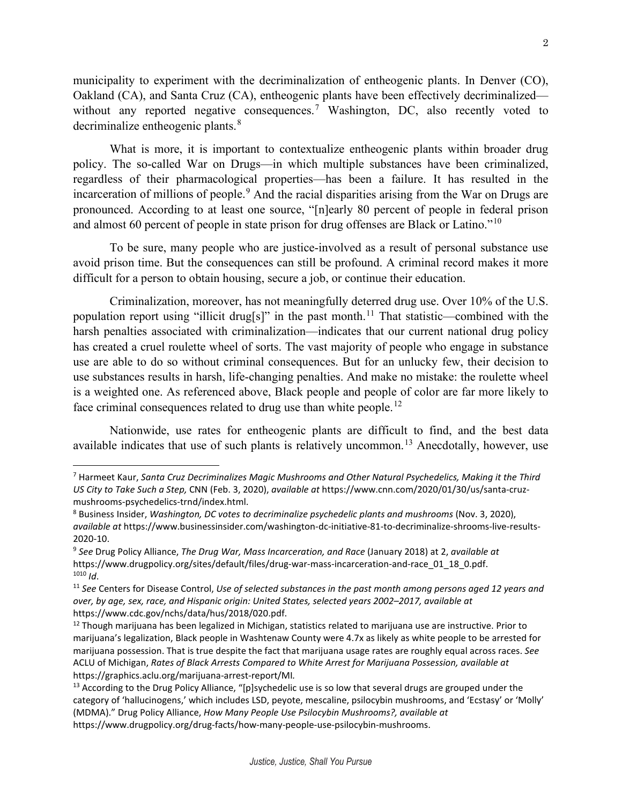municipality to experiment with the decriminalization of entheogenic plants. In Denver (CO), Oakland (CA), and Santa Cruz (CA), entheogenic plants have been effectively decriminalized— without any reported negative consequences.<sup>[7](#page-1-0)</sup> Washington, DC, also recently voted to decriminalize entheogenic plants.<sup>[8](#page-1-1)</sup>

What is more, it is important to contextualize entheogenic plants within broader drug policy. The so-called War on Drugs—in which multiple substances have been criminalized, regardless of their pharmacological properties—has been a failure. It has resulted in the incarceration of millions of people.<sup>[9](#page-1-2)</sup> And the racial disparities arising from the War on Drugs are pronounced. According to at least one source, "[n]early 80 percent of people in federal prison and almost 60 percent of people in state prison for drug offenses are Black or Latino."[10](#page-1-3)

To be sure, many people who are justice-involved as a result of personal substance use avoid prison time. But the consequences can still be profound. A criminal record makes it more difficult for a person to obtain housing, secure a job, or continue their education.

Criminalization, moreover, has not meaningfully deterred drug use. Over 10% of the U.S. population report using "illicit drug[s]" in the past month.<sup>[11](#page-1-4)</sup> That statistic—combined with the harsh penalties associated with criminalization—indicates that our current national drug policy has created a cruel roulette wheel of sorts. The vast majority of people who engage in substance use are able to do so without criminal consequences. But for an unlucky few, their decision to use substances results in harsh, life-changing penalties. And make no mistake: the roulette wheel is a weighted one. As referenced above, Black people and people of color are far more likely to face criminal consequences related to drug use than white people.<sup>[12](#page-1-5)</sup>

Nationwide, use rates for entheogenic plants are difficult to find, and the best data available indicates that use of such plants is relatively uncommon.[13](#page-1-6) Anecdotally, however, use

<span id="page-1-0"></span><sup>7</sup> Harmeet Kaur, *Santa Cruz Decriminalizes Magic Mushrooms and Other Natural Psychedelics, Making it the Third US City to Take Such a Step,* CNN (Feb. 3, 2020), *available at* https://www.cnn.com/2020/01/30/us/santa-cruzmushrooms-psychedelics-trnd/index.html.

<span id="page-1-1"></span><sup>8</sup> Business Insider, *Washington, DC votes to decriminalize psychedelic plants and mushrooms* (Nov. 3, 2020), *available at* https://www.businessinsider.com/washington-dc-initiative-81-to-decriminalize-shrooms-live-results-2020-10.

<span id="page-1-2"></span><sup>9</sup> *See* Drug Policy Alliance, *The Drug War, Mass Incarceration, and Race* (January 2018) at 2, *available at*  https://www.drugpolicy.org/sites/default/files/drug-war-mass-incarceration-and-race\_01\_18\_0.pdf. <sup>1010</sup> *Id*.

<span id="page-1-4"></span><span id="page-1-3"></span><sup>11</sup> *See* Centers for Disease Control, *Use of selected substances in the past month among persons aged 12 years and over, by age, sex, race, and Hispanic origin: United States, selected years 2002–2017, available at*  https://www.cdc.gov/nchs/data/hus/2018/020.pdf.

<span id="page-1-5"></span> $12$  Though marijuana has been legalized in Michigan, statistics related to marijuana use are instructive. Prior to marijuana's legalization, Black people in Washtenaw County were 4.7x as likely as white people to be arrested for marijuana possession. That is true despite the fact that marijuana usage rates are roughly equal across races. *See*  ACLU of Michigan, *Rates of Black Arrests Compared to White Arrest for Marijuana Possession, available at*  https://graphics.aclu.org/marijuana-arrest-report/MI*.* 

<span id="page-1-6"></span><sup>&</sup>lt;sup>13</sup> According to the Drug Policy Alliance, "[p]sychedelic use is so low that several drugs are grouped under the category of 'hallucinogens,' which includes LSD, peyote, mescaline, psilocybin mushrooms, and 'Ecstasy' or 'Molly' (MDMA)." Drug Policy Alliance, *How Many People Use Psilocybin Mushrooms?, available at*  https://www.drugpolicy.org/drug-facts/how-many-people-use-psilocybin-mushrooms.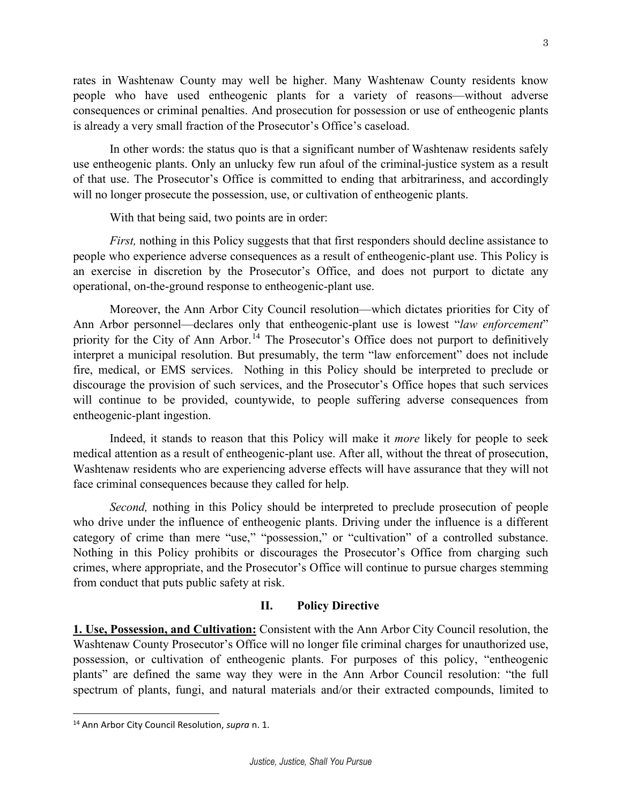rates in Washtenaw County may well be higher. Many Washtenaw County residents know people who have used entheogenic plants for a variety of reasons—without adverse consequences or criminal penalties. And prosecution for possession or use of entheogenic plants is already a very small fraction of the Prosecutor's Office's caseload.

In other words: the status quo is that a significant number of Washtenaw residents safely use entheogenic plants. Only an unlucky few run afoul of the criminal-justice system as a result of that use. The Prosecutor's Office is committed to ending that arbitrariness, and accordingly will no longer prosecute the possession, use, or cultivation of entheogenic plants.

With that being said, two points are in order:

*First,* nothing in this Policy suggests that that first responders should decline assistance to people who experience adverse consequences as a result of entheogenic-plant use. This Policy is an exercise in discretion by the Prosecutor's Office, and does not purport to dictate any operational, on-the-ground response to entheogenic-plant use.

Moreover, the Ann Arbor City Council resolution—which dictates priorities for City of Ann Arbor personnel—declares only that entheogenic-plant use is lowest "*law enforcement*" priority for the City of Ann Arbor.<sup>[14](#page-2-0)</sup> The Prosecutor's Office does not purport to definitively interpret a municipal resolution. But presumably, the term "law enforcement" does not include fire, medical, or EMS services. Nothing in this Policy should be interpreted to preclude or discourage the provision of such services, and the Prosecutor's Office hopes that such services will continue to be provided, countywide, to people suffering adverse consequences from entheogenic-plant ingestion.

Indeed, it stands to reason that this Policy will make it *more* likely for people to seek medical attention as a result of entheogenic-plant use. After all, without the threat of prosecution, Washtenaw residents who are experiencing adverse effects will have assurance that they will not face criminal consequences because they called for help.

*Second,* nothing in this Policy should be interpreted to preclude prosecution of people who drive under the influence of entheogenic plants. Driving under the influence is a different category of crime than mere "use," "possession," or "cultivation" of a controlled substance. Nothing in this Policy prohibits or discourages the Prosecutor's Office from charging such crimes, where appropriate, and the Prosecutor's Office will continue to pursue charges stemming from conduct that puts public safety at risk.

#### **II. Policy Directive**

**1. Use, Possession, and Cultivation:** Consistent with the Ann Arbor City Council resolution, the Washtenaw County Prosecutor's Office will no longer file criminal charges for unauthorized use, possession, or cultivation of entheogenic plants. For purposes of this policy, "entheogenic plants" are defined the same way they were in the Ann Arbor Council resolution: "the full spectrum of plants, fungi, and natural materials and/or their extracted compounds, limited to

<span id="page-2-0"></span><sup>14</sup> Ann Arbor City Council Resolution, *supra* n. 1.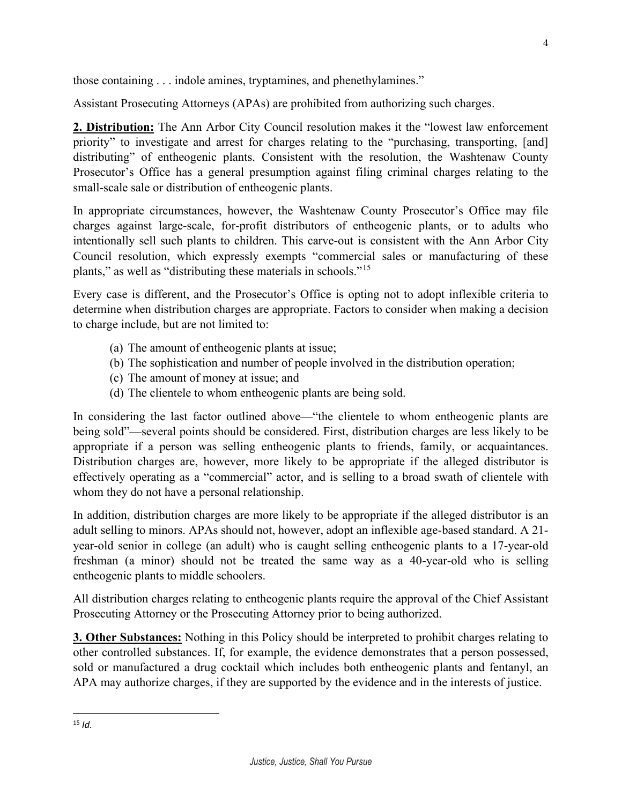those containing . . . indole amines, tryptamines, and phenethylamines."

Assistant Prosecuting Attorneys (APAs) are prohibited from authorizing such charges.

**2. Distribution:** The Ann Arbor City Council resolution makes it the "lowest law enforcement priority" to investigate and arrest for charges relating to the "purchasing, transporting, [and] distributing" of entheogenic plants. Consistent with the resolution, the Washtenaw County Prosecutor's Office has a general presumption against filing criminal charges relating to the small-scale sale or distribution of entheogenic plants.

In appropriate circumstances, however, the Washtenaw County Prosecutor's Office may file charges against large-scale, for-profit distributors of entheogenic plants, or to adults who intentionally sell such plants to children. This carve-out is consistent with the Ann Arbor City Council resolution, which expressly exempts "commercial sales or manufacturing of these plants," as well as "distributing these materials in schools."[15](#page-3-0)

Every case is different, and the Prosecutor's Office is opting not to adopt inflexible criteria to determine when distribution charges are appropriate. Factors to consider when making a decision to charge include, but are not limited to:

- (a) The amount of entheogenic plants at issue;
- (b) The sophistication and number of people involved in the distribution operation;
- (c) The amount of money at issue; and
- (d) The clientele to whom entheogenic plants are being sold.

In considering the last factor outlined above—"the clientele to whom entheogenic plants are being sold"—several points should be considered. First, distribution charges are less likely to be appropriate if a person was selling entheogenic plants to friends, family, or acquaintances. Distribution charges are, however, more likely to be appropriate if the alleged distributor is effectively operating as a "commercial" actor, and is selling to a broad swath of clientele with whom they do not have a personal relationship.

In addition, distribution charges are more likely to be appropriate if the alleged distributor is an adult selling to minors. APAs should not, however, adopt an inflexible age-based standard. A 21 year-old senior in college (an adult) who is caught selling entheogenic plants to a 17-year-old freshman (a minor) should not be treated the same way as a 40-year-old who is selling entheogenic plants to middle schoolers.

All distribution charges relating to entheogenic plants require the approval of the Chief Assistant Prosecuting Attorney or the Prosecuting Attorney prior to being authorized.

**3. Other Substances:** Nothing in this Policy should be interpreted to prohibit charges relating to other controlled substances. If, for example, the evidence demonstrates that a person possessed, sold or manufactured a drug cocktail which includes both entheogenic plants and fentanyl, an APA may authorize charges, if they are supported by the evidence and in the interests of justice.

<span id="page-3-0"></span><sup>15</sup> *Id.*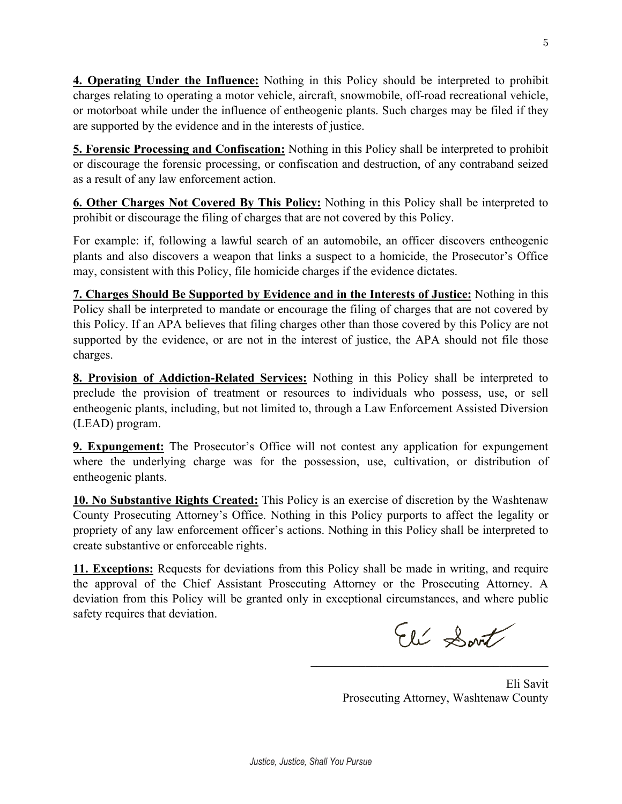**4. Operating Under the Influence:** Nothing in this Policy should be interpreted to prohibit charges relating to operating a motor vehicle, aircraft, snowmobile, off-road recreational vehicle, or motorboat while under the influence of entheogenic plants. Such charges may be filed if they are supported by the evidence and in the interests of justice.

**5. Forensic Processing and Confiscation:** Nothing in this Policy shall be interpreted to prohibit or discourage the forensic processing, or confiscation and destruction, of any contraband seized as a result of any law enforcement action.

**6. Other Charges Not Covered By This Policy:** Nothing in this Policy shall be interpreted to prohibit or discourage the filing of charges that are not covered by this Policy.

For example: if, following a lawful search of an automobile, an officer discovers entheogenic plants and also discovers a weapon that links a suspect to a homicide, the Prosecutor's Office may, consistent with this Policy, file homicide charges if the evidence dictates.

**7. Charges Should Be Supported by Evidence and in the Interests of Justice:** Nothing in this Policy shall be interpreted to mandate or encourage the filing of charges that are not covered by this Policy. If an APA believes that filing charges other than those covered by this Policy are not supported by the evidence, or are not in the interest of justice, the APA should not file those charges.

**8. Provision of Addiction-Related Services:** Nothing in this Policy shall be interpreted to preclude the provision of treatment or resources to individuals who possess, use, or sell entheogenic plants, including, but not limited to, through a Law Enforcement Assisted Diversion (LEAD) program.

**9. Expungement:** The Prosecutor's Office will not contest any application for expungement where the underlying charge was for the possession, use, cultivation, or distribution of entheogenic plants.

**10. No Substantive Rights Created:** This Policy is an exercise of discretion by the Washtenaw County Prosecuting Attorney's Office. Nothing in this Policy purports to affect the legality or propriety of any law enforcement officer's actions. Nothing in this Policy shall be interpreted to create substantive or enforceable rights.

**11. Exceptions:** Requests for deviations from this Policy shall be made in writing, and require the approval of the Chief Assistant Prosecuting Attorney or the Prosecuting Attorney. A deviation from this Policy will be granted only in exceptional circumstances, and where public safety requires that deviation.

Eli Sont

Eli Savit Prosecuting Attorney, Washtenaw County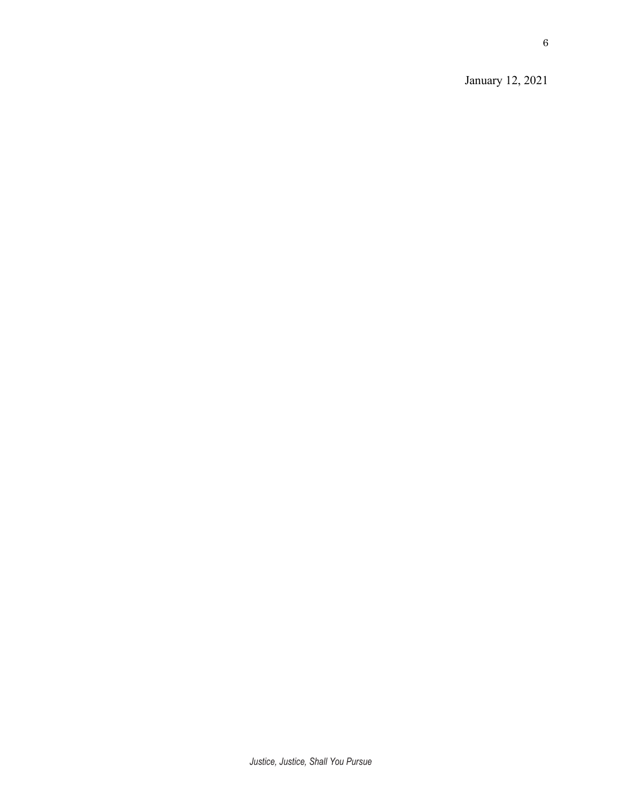January 12, 2021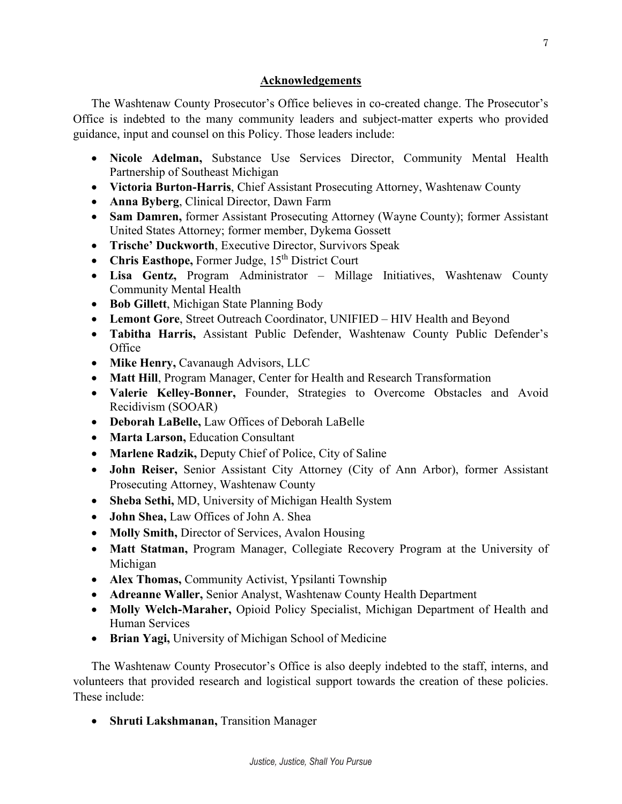### **Acknowledgements**

The Washtenaw County Prosecutor's Office believes in co-created change. The Prosecutor's Office is indebted to the many community leaders and subject-matter experts who provided guidance, input and counsel on this Policy. Those leaders include:

- **Nicole Adelman,** Substance Use Services Director, Community Mental Health Partnership of Southeast Michigan
- **Victoria Burton-Harris**, Chief Assistant Prosecuting Attorney, Washtenaw County
- **Anna Byberg**, Clinical Director, Dawn Farm
- **Sam Damren,** former Assistant Prosecuting Attorney (Wayne County); former Assistant United States Attorney; former member, Dykema Gossett
- **Trische' Duckworth**, Executive Director, Survivors Speak
- Chris Easthope, Former Judge, 15<sup>th</sup> District Court
- **Lisa Gentz,** Program Administrator Millage Initiatives, Washtenaw County Community Mental Health
- **Bob Gillett**, Michigan State Planning Body
- **Lemont Gore**, Street Outreach Coordinator, UNIFIED HIV Health and Beyond
- **Tabitha Harris,** Assistant Public Defender, Washtenaw County Public Defender's **Office**
- **Mike Henry,** Cavanaugh Advisors, LLC
- **Matt Hill**, Program Manager, Center for Health and Research Transformation
- **Valerie Kelley-Bonner,** Founder, Strategies to Overcome Obstacles and Avoid Recidivism (SOOAR)
- **Deborah LaBelle,** Law Offices of Deborah LaBelle
- **Marta Larson,** Education Consultant
- **Marlene Radzik,** Deputy Chief of Police, City of Saline
- **John Reiser,** Senior Assistant City Attorney (City of Ann Arbor), former Assistant Prosecuting Attorney, Washtenaw County
- **Sheba Sethi,** MD, University of Michigan Health System
- **John Shea,** Law Offices of John A. Shea
- **Molly Smith,** Director of Services, Avalon Housing
- **Matt Statman,** Program Manager, Collegiate Recovery Program at the University of Michigan
- **Alex Thomas,** Community Activist, Ypsilanti Township
- **Adreanne Waller,** Senior Analyst, Washtenaw County Health Department
- **Molly Welch-Maraher,** Opioid Policy Specialist, Michigan Department of Health and Human Services
- **Brian Yagi,** University of Michigan School of Medicine

The Washtenaw County Prosecutor's Office is also deeply indebted to the staff, interns, and volunteers that provided research and logistical support towards the creation of these policies. These include:

• **Shruti Lakshmanan,** Transition Manager